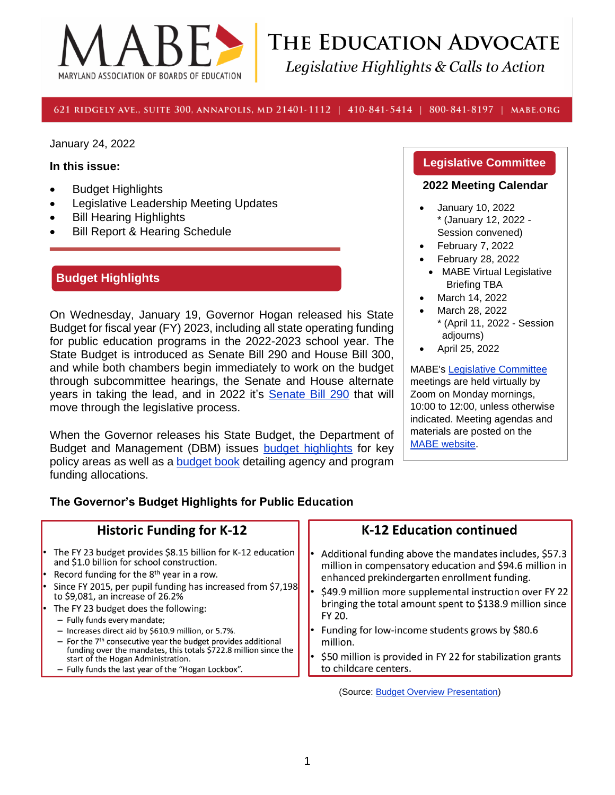

# THE EDUCATION ADVOCATE Legislative Highlights & Calls to Action

#### 621 RIDGELY AVE., SUITE 300, ANNAPOLIS, MD 21401-1112 | 410-841-5414 | 800-841-8197 | MABE.ORG

January 24, 2022

#### **In this issue:**

- Budget Highlights
- Legislative Leadership Meeting Updates
- **Bill Hearing Highlights**
- **Bill Report & Hearing Schedule**

# **Budget Highlights**

On Wednesday, January 19, Governor Hogan released his State Budget for fiscal year (FY) 2023, including all state operating funding for public education programs in the 2022-2023 school year. The State Budget is introduced as Senate Bill 290 and House Bill 300, and while both chambers begin immediately to work on the budget through subcommittee hearings, the Senate and House alternate years in taking the lead, and in 2022 it's [Senate Bill 290](https://mgaleg.maryland.gov/mgawebsite/Legislation/Details/sb0290) that will move through the legislative process.

When the Governor releases his State Budget, the Department of Budget and Management (DBM) issues [budget highlights](https://linkprotect.cudasvc.com/url?a=https%3a%2f%2fdbm.maryland.gov%2fbudget%2fDocuments%2foperbudget%2f2023%2fproposed%2fFY2023MarylandStateBudgetHighlights.pdf&c=E,1,4e-q8F5mIR8QFzhmt5QR8qdqPaEaEh8WeePLy0SCfR5tzDx4cMqrYTK__1bk_HTwgys57CNBLCNwREAJSip32QrvNfD1yz1k6hx-JKsz_OS5R6NQow,,&typo=1) for key policy areas as well as a **budget book** detailing agency and program funding allocations.

#### **Legislative Committee**

#### **2022 Meeting Calendar**

- January 10, 2022 \* (January 12, 2022 - Session convened)
- February 7, 2022
- February 28, 2022
- MABE Virtual Legislative Briefing TBA
- March 14, 2022
- March 28, 2022 \* (April 11, 2022 - Session adjourns)
- April 25, 2022

MABE's [Legislative Committee](https://www.mabe.org/advocacy/legislative-committee-2/) meetings are held virtually by Zoom on Monday mornings, 10:00 to 12:00, unless otherwise indicated. Meeting agendas and materials are posted on the [MABE website.](http://www.mabe.org/advocacy/state-advocacy/legislative-committee-meeting-handouts/)

#### **The Governor's Budget Highlights for Public Education**

| <b>Historic Funding for K-12</b>                                                                                                                                                                                                                                                                                                                                                                                                                                                                                                                                                                                                       | <b>K-12 Education continued</b>                                                                                                                                                                                                                                                                                                                                                                                                                          |
|----------------------------------------------------------------------------------------------------------------------------------------------------------------------------------------------------------------------------------------------------------------------------------------------------------------------------------------------------------------------------------------------------------------------------------------------------------------------------------------------------------------------------------------------------------------------------------------------------------------------------------------|----------------------------------------------------------------------------------------------------------------------------------------------------------------------------------------------------------------------------------------------------------------------------------------------------------------------------------------------------------------------------------------------------------------------------------------------------------|
| • The FY 23 budget provides \$8.15 billion for K-12 education<br>and \$1.0 billion for school construction.<br>• Record funding for the $8th$ year in a row.<br>Since FY 2015, per pupil funding has increased from \$7,198<br>to \$9,081, an increase of 26.2%<br>• The FY 23 budget does the following:<br>- Fully funds every mandate;<br>- Increases direct aid by \$610.9 million, or 5.7%.<br>$-$ For the $7th$ consecutive year the budget provides additional<br>funding over the mandates, this totals \$722.8 million since the<br>start of the Hogan Administration.<br>- Fully funds the last year of the "Hogan Lockbox". | Additional funding above the mandates includes, \$57.3<br>million in compensatory education and \$94.6 million in<br>enhanced prekindergarten enrollment funding.<br>\$49.9 million more supplemental instruction over FY 22<br>bringing the total amount spent to \$138.9 million since<br>FY 20.<br>Funding for low-income students grows by \$80.6<br>million.<br>\$50 million is provided in FY 22 for stabilization grants<br>to childcare centers. |
|                                                                                                                                                                                                                                                                                                                                                                                                                                                                                                                                                                                                                                        | (Source: Budget Overview Presentation)                                                                                                                                                                                                                                                                                                                                                                                                                   |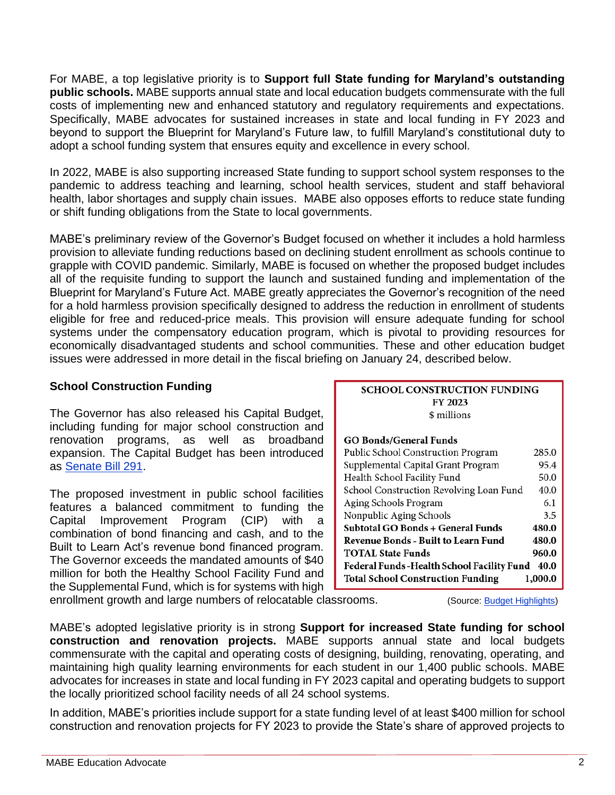For MABE, a top legislative priority is to **Support full State funding for Maryland's outstanding public schools.** MABE supports annual state and local education budgets commensurate with the full costs of implementing new and enhanced statutory and regulatory requirements and expectations. Specifically, MABE advocates for sustained increases in state and local funding in FY 2023 and beyond to support the Blueprint for Maryland's Future law, to fulfill Maryland's constitutional duty to adopt a school funding system that ensures equity and excellence in every school.

In 2022, MABE is also supporting increased State funding to support school system responses to the pandemic to address teaching and learning, school health services, student and staff behavioral health, labor shortages and supply chain issues. MABE also opposes efforts to reduce state funding or shift funding obligations from the State to local governments.

MABE's preliminary review of the Governor's Budget focused on whether it includes a hold harmless provision to alleviate funding reductions based on declining student enrollment as schools continue to grapple with COVID pandemic. Similarly, MABE is focused on whether the proposed budget includes all of the requisite funding to support the launch and sustained funding and implementation of the Blueprint for Maryland's Future Act. MABE greatly appreciates the Governor's recognition of the need for a hold harmless provision specifically designed to address the reduction in enrollment of students eligible for free and reduced-price meals. This provision will ensure adequate funding for school systems under the compensatory education program, which is pivotal to providing resources for economically disadvantaged students and school communities. These and other education budget issues were addressed in more detail in the fiscal briefing on January 24, described below.

### **School Construction Funding**

The Governor has also released his Capital Budget, including funding for major school construction and renovation programs, as well as broadband expansion. The Capital Budget has been introduced as [Senate Bill 291.](https://mgaleg.maryland.gov/mgawebsite/Legislation/Details/sb0291)

The proposed investment in public school facilities features a balanced commitment to funding the Capital Improvement Program (CIP) with a combination of bond financing and cash, and to the Built to Learn Act's revenue bond financed program. The Governor exceeds the mandated amounts of \$40 million for both the Healthy School Facility Fund and the Supplemental Fund, which is for systems with high enrollment growth and large numbers of relocatable classrooms. (Source: [Budget Highlights\)](https://dbm.maryland.gov/budget/Documents/operbudget/2023/proposed/FY2023MarylandStateBudgetHighlights.pdf)

| <b>SCHOOL CONSTRUCTION FUNDING</b> |  |  |  |
|------------------------------------|--|--|--|
| FY 2023                            |  |  |  |
| \$ millions                        |  |  |  |

#### **GO Bonds/General Funds**

| Public School Construction Program                  | 285.0 |  |  |  |
|-----------------------------------------------------|-------|--|--|--|
| Supplemental Capital Grant Program                  | 95.4  |  |  |  |
| Health School Facility Fund                         | 50.0  |  |  |  |
| School Construction Revolving Loan Fund             | 40.0  |  |  |  |
| Aging Schools Program                               | 6.1   |  |  |  |
| Nonpublic Aging Schools                             | 3.5   |  |  |  |
| Subtotal GO Bonds + General Funds<br>480.0          |       |  |  |  |
| Revenue Bonds - Built to Learn Fund                 | 480.0 |  |  |  |
| 960.0<br><b>TOTAL State Funds</b>                   |       |  |  |  |
| Federal Funds-Health School Facility Fund<br>40.0   |       |  |  |  |
| <b>Total School Construction Funding</b><br>1,000.0 |       |  |  |  |

MABE's adopted legislative priority is in strong **Support for increased State funding for school construction and renovation projects.** MABE supports annual state and local budgets commensurate with the capital and operating costs of designing, building, renovating, operating, and maintaining high quality learning environments for each student in our 1,400 public schools. MABE advocates for increases in state and local funding in FY 2023 capital and operating budgets to support the locally prioritized school facility needs of all 24 school systems.

In addition, MABE's priorities include support for a state funding level of at least \$400 million for school construction and renovation projects for FY 2023 to provide the State's share of approved projects to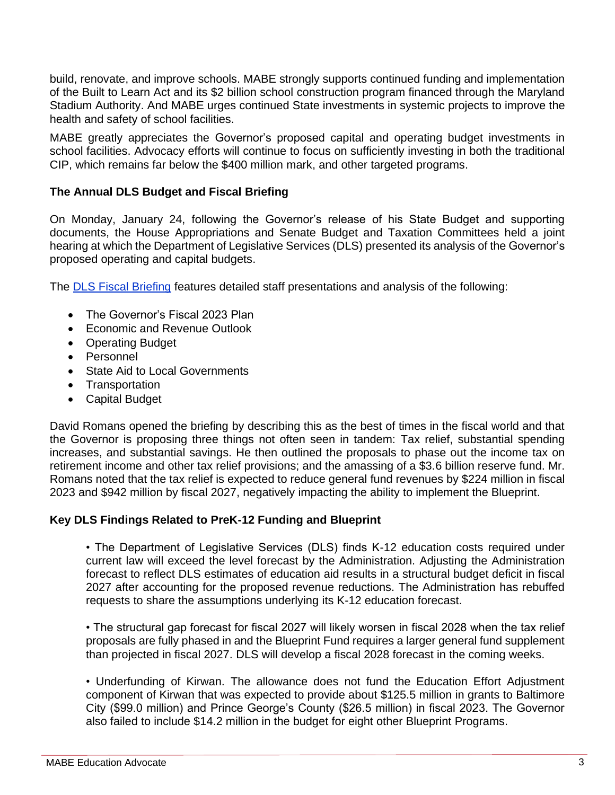build, renovate, and improve schools. MABE strongly supports continued funding and implementation of the Built to Learn Act and its \$2 billion school construction program financed through the Maryland Stadium Authority. And MABE urges continued State investments in systemic projects to improve the health and safety of school facilities.

MABE greatly appreciates the Governor's proposed capital and operating budget investments in school facilities. Advocacy efforts will continue to focus on sufficiently investing in both the traditional CIP, which remains far below the \$400 million mark, and other targeted programs.

# **The Annual DLS Budget and Fiscal Briefing**

On Monday, January 24, following the Governor's release of his State Budget and supporting documents, the House Appropriations and Senate Budget and Taxation Committees held a joint hearing at which the Department of Legislative Services (DLS) presented its analysis of the Governor's proposed operating and capital budgets.

The **DLS Fiscal Briefing** features detailed staff presentations and analysis of the following:

- The Governor's Fiscal 2023 Plan
- Economic and Revenue Outlook
- Operating Budget
- Personnel
- State Aid to Local Governments
- Transportation
- Capital Budget

David Romans opened the briefing by describing this as the best of times in the fiscal world and that the Governor is proposing three things not often seen in tandem: Tax relief, substantial spending increases, and substantial savings. He then outlined the proposals to phase out the income tax on retirement income and other tax relief provisions; and the amassing of a \$3.6 billion reserve fund. Mr. Romans noted that the tax relief is expected to reduce general fund revenues by \$224 million in fiscal 2023 and \$942 million by fiscal 2027, negatively impacting the ability to implement the Blueprint.

# **Key DLS Findings Related to PreK-12 Funding and Blueprint**

• The Department of Legislative Services (DLS) finds K-12 education costs required under current law will exceed the level forecast by the Administration. Adjusting the Administration forecast to reflect DLS estimates of education aid results in a structural budget deficit in fiscal 2027 after accounting for the proposed revenue reductions. The Administration has rebuffed requests to share the assumptions underlying its K-12 education forecast.

• The structural gap forecast for fiscal 2027 will likely worsen in fiscal 2028 when the tax relief proposals are fully phased in and the Blueprint Fund requires a larger general fund supplement than projected in fiscal 2027. DLS will develop a fiscal 2028 forecast in the coming weeks.

• Underfunding of Kirwan. The allowance does not fund the Education Effort Adjustment component of Kirwan that was expected to provide about \$125.5 million in grants to Baltimore City (\$99.0 million) and Prince George's County (\$26.5 million) in fiscal 2023. The Governor also failed to include \$14.2 million in the budget for eight other Blueprint Programs.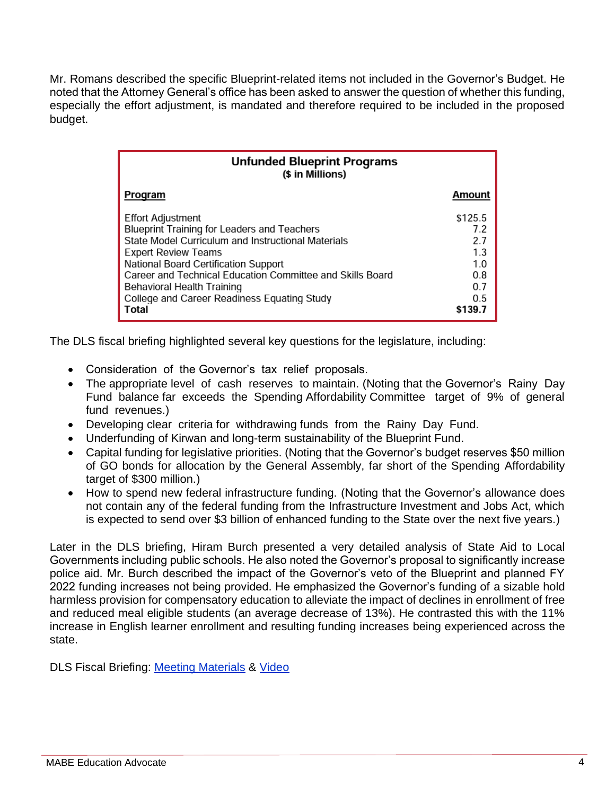Mr. Romans described the specific Blueprint-related items not included in the Governor's Budget. He noted that the Attorney General's office has been asked to answer the question of whether this funding, especially the effort adjustment, is mandated and therefore required to be included in the proposed budget.

| <b>Unfunded Blueprint Programs</b><br>(\$ in Millions)                                                                                                                                                                                                                                                                                                        |                                                                     |  |  |
|---------------------------------------------------------------------------------------------------------------------------------------------------------------------------------------------------------------------------------------------------------------------------------------------------------------------------------------------------------------|---------------------------------------------------------------------|--|--|
| Program                                                                                                                                                                                                                                                                                                                                                       | Amount                                                              |  |  |
| <b>Effort Adjustment</b><br><b>Blueprint Training for Leaders and Teachers</b><br>State Model Curriculum and Instructional Materials<br><b>Expert Review Teams</b><br>National Board Certification Support<br>Career and Technical Education Committee and Skills Board<br>Behavioral Health Training<br>College and Career Readiness Equating Study<br>Total | \$125.5<br>7.2<br>2.7<br>1.3<br>1.0<br>0.8<br>0.7<br>0.5<br>\$139.7 |  |  |

The DLS fiscal briefing highlighted several key questions for the legislature, including:

- Consideration of the Governor's tax relief proposals.
- The appropriate level of cash reserves to maintain. (Noting that the Governor's Rainy Day Fund balance far exceeds the Spending Affordability Committee target of 9% of general fund revenues.)
- Developing clear criteria for withdrawing funds from the Rainy Day Fund.
- Underfunding of Kirwan and long-term sustainability of the Blueprint Fund.
- Capital funding for legislative priorities. (Noting that the Governor's budget reserves \$50 million of GO bonds for allocation by the General Assembly, far short of the Spending Affordability target of \$300 million.)
- How to spend new federal infrastructure funding. (Noting that the Governor's allowance does not contain any of the federal funding from the Infrastructure Investment and Jobs Act, which is expected to send over \$3 billion of enhanced funding to the State over the next five years.)

Later in the DLS briefing, Hiram Burch presented a very detailed analysis of State Aid to Local Governments including public schools. He also noted the Governor's proposal to significantly increase police aid. Mr. Burch described the impact of the Governor's veto of the Blueprint and planned FY 2022 funding increases not being provided. He emphasized the Governor's funding of a sizable hold harmless provision for compensatory education to alleviate the impact of declines in enrollment of free and reduced meal eligible students (an average decrease of 13%). He contrasted this with the 11% increase in English learner enrollment and resulting funding increases being experienced across the state.

DLS Fiscal Briefing: [Meeting Materials](https://mgaleg.maryland.gov/meeting_material/2022/app%20-%20132875217425755358%20-%20Fiscal%20Briefing%20Meeting%20Materials%201.24.22.pdf) & [Video](https://www.youtube.com/watch?v=gdrj-eyTuv8)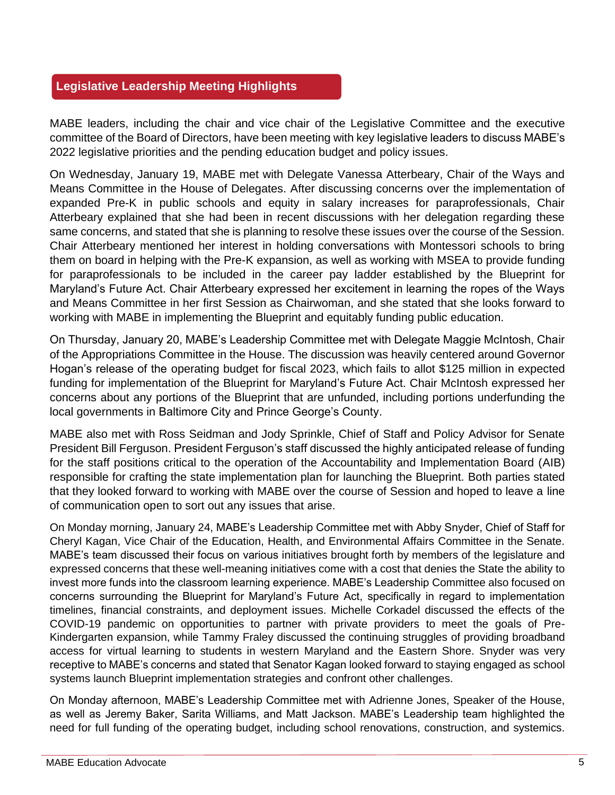# **Legislative Leadership Meeting Highlights**

MABE leaders, including the chair and vice chair of the Legislative Committee and the executive committee of the Board of Directors, have been meeting with key legislative leaders to discuss MABE's 2022 legislative priorities and the pending education budget and policy issues.

On Wednesday, January 19, MABE met with Delegate Vanessa Atterbeary, Chair of the Ways and Means Committee in the House of Delegates. After discussing concerns over the implementation of expanded Pre-K in public schools and equity in salary increases for paraprofessionals, Chair Atterbeary explained that she had been in recent discussions with her delegation regarding these same concerns, and stated that she is planning to resolve these issues over the course of the Session. Chair Atterbeary mentioned her interest in holding conversations with Montessori schools to bring them on board in helping with the Pre-K expansion, as well as working with MSEA to provide funding for paraprofessionals to be included in the career pay ladder established by the Blueprint for Maryland's Future Act. Chair Atterbeary expressed her excitement in learning the ropes of the Ways and Means Committee in her first Session as Chairwoman, and she stated that she looks forward to working with MABE in implementing the Blueprint and equitably funding public education.

On Thursday, January 20, MABE's Leadership Committee met with Delegate Maggie McIntosh, Chair of the Appropriations Committee in the House. The discussion was heavily centered around Governor Hogan's release of the operating budget for fiscal 2023, which fails to allot \$125 million in expected funding for implementation of the Blueprint for Maryland's Future Act. Chair McIntosh expressed her concerns about any portions of the Blueprint that are unfunded, including portions underfunding the local governments in Baltimore City and Prince George's County.

MABE also met with Ross Seidman and Jody Sprinkle, Chief of Staff and Policy Advisor for Senate President Bill Ferguson. President Ferguson's staff discussed the highly anticipated release of funding for the staff positions critical to the operation of the Accountability and Implementation Board (AIB) responsible for crafting the state implementation plan for launching the Blueprint. Both parties stated that they looked forward to working with MABE over the course of Session and hoped to leave a line of communication open to sort out any issues that arise.

On Monday morning, January 24, MABE's Leadership Committee met with Abby Snyder, Chief of Staff for Cheryl Kagan, Vice Chair of the Education, Health, and Environmental Affairs Committee in the Senate. MABE's team discussed their focus on various initiatives brought forth by members of the legislature and expressed concerns that these well-meaning initiatives come with a cost that denies the State the ability to invest more funds into the classroom learning experience. MABE's Leadership Committee also focused on concerns surrounding the Blueprint for Maryland's Future Act, specifically in regard to implementation timelines, financial constraints, and deployment issues. Michelle Corkadel discussed the effects of the COVID-19 pandemic on opportunities to partner with private providers to meet the goals of Pre-Kindergarten expansion, while Tammy Fraley discussed the continuing struggles of providing broadband access for virtual learning to students in western Maryland and the Eastern Shore. Snyder was very receptive to MABE's concerns and stated that Senator Kagan looked forward to staying engaged as school systems launch Blueprint implementation strategies and confront other challenges.

On Monday afternoon, MABE's Leadership Committee met with Adrienne Jones, Speaker of the House, as well as Jeremy Baker, Sarita Williams, and Matt Jackson. MABE's Leadership team highlighted the need for full funding of the operating budget, including school renovations, construction, and systemics.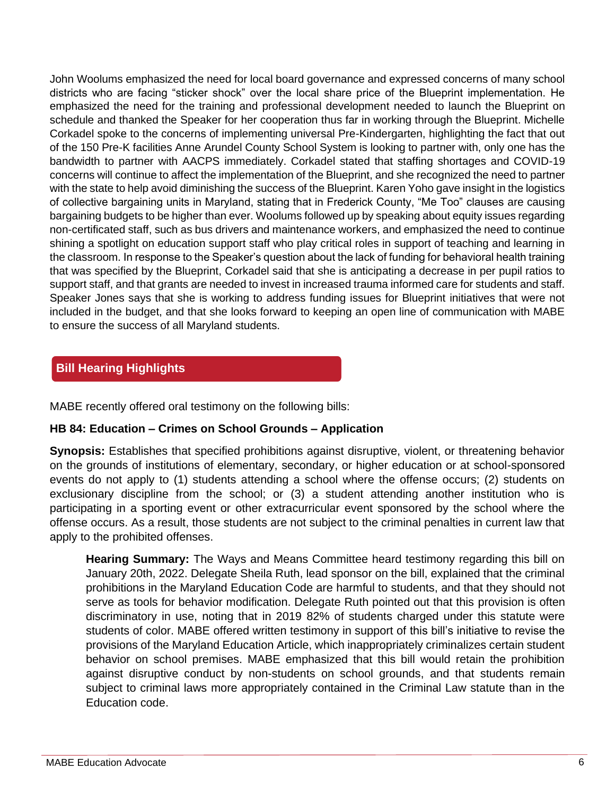John Woolums emphasized the need for local board governance and expressed concerns of many school districts who are facing "sticker shock" over the local share price of the Blueprint implementation. He emphasized the need for the training and professional development needed to launch the Blueprint on schedule and thanked the Speaker for her cooperation thus far in working through the Blueprint. Michelle Corkadel spoke to the concerns of implementing universal Pre-Kindergarten, highlighting the fact that out of the 150 Pre-K facilities Anne Arundel County School System is looking to partner with, only one has the bandwidth to partner with AACPS immediately. Corkadel stated that staffing shortages and COVID-19 concerns will continue to affect the implementation of the Blueprint, and she recognized the need to partner with the state to help avoid diminishing the success of the Blueprint. Karen Yoho gave insight in the logistics of collective bargaining units in Maryland, stating that in Frederick County, "Me Too" clauses are causing bargaining budgets to be higher than ever. Woolums followed up by speaking about equity issues regarding non-certificated staff, such as bus drivers and maintenance workers, and emphasized the need to continue shining a spotlight on education support staff who play critical roles in support of teaching and learning in the classroom. In response to the Speaker's question about the lack of funding for behavioral health training that was specified by the Blueprint, Corkadel said that she is anticipating a decrease in per pupil ratios to support staff, and that grants are needed to invest in increased trauma informed care for students and staff. Speaker Jones says that she is working to address funding issues for Blueprint initiatives that were not included in the budget, and that she looks forward to keeping an open line of communication with MABE to ensure the success of all Maryland students.

# **Bill Hearing Highlights**

MABE recently offered oral testimony on the following bills:

# **HB 84: Education – Crimes on School Grounds – Application**

**Synopsis:** Establishes that specified prohibitions against disruptive, violent, or threatening behavior on the grounds of institutions of elementary, secondary, or higher education or at school-sponsored events do not apply to (1) students attending a school where the offense occurs; (2) students on exclusionary discipline from the school; or (3) a student attending another institution who is participating in a sporting event or other extracurricular event sponsored by the school where the offense occurs. As a result, those students are not subject to the criminal penalties in current law that apply to the prohibited offenses.

**Hearing Summary:** The Ways and Means Committee heard testimony regarding this bill on January 20th, 2022. Delegate Sheila Ruth, lead sponsor on the bill, explained that the criminal prohibitions in the Maryland Education Code are harmful to students, and that they should not serve as tools for behavior modification. Delegate Ruth pointed out that this provision is often discriminatory in use, noting that in 2019 82% of students charged under this statute were students of color. MABE offered written testimony in support of this bill's initiative to revise the provisions of the Maryland Education Article, which inappropriately criminalizes certain student behavior on school premises. MABE emphasized that this bill would retain the prohibition against disruptive conduct by non-students on school grounds, and that students remain subject to criminal laws more appropriately contained in the Criminal Law statute than in the Education code.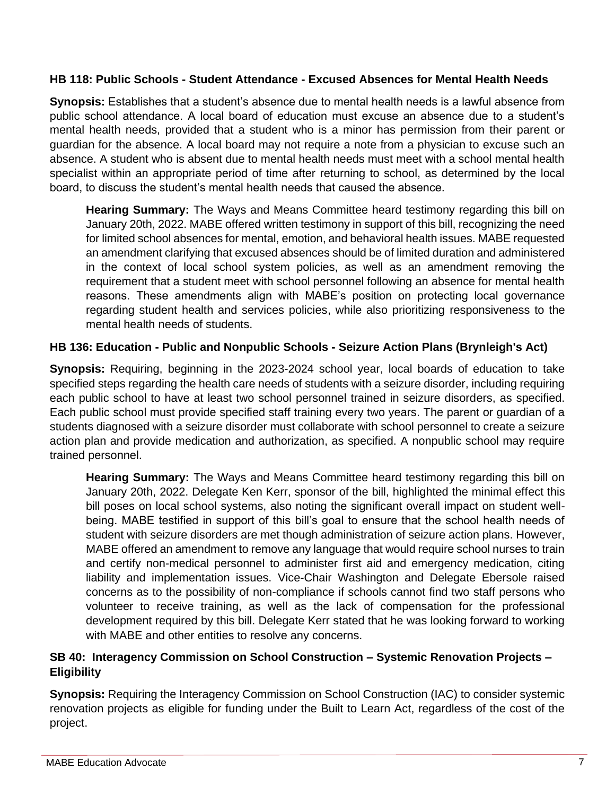### **HB 118: Public Schools - Student Attendance - Excused Absences for Mental Health Needs**

**Synopsis:** Establishes that a student's absence due to mental health needs is a lawful absence from public school attendance. A local board of education must excuse an absence due to a student's mental health needs, provided that a student who is a minor has permission from their parent or guardian for the absence. A local board may not require a note from a physician to excuse such an absence. A student who is absent due to mental health needs must meet with a school mental health specialist within an appropriate period of time after returning to school, as determined by the local board, to discuss the student's mental health needs that caused the absence.

**Hearing Summary:** The Ways and Means Committee heard testimony regarding this bill on January 20th, 2022. MABE offered written testimony in support of this bill, recognizing the need for limited school absences for mental, emotion, and behavioral health issues. MABE requested an amendment clarifying that excused absences should be of limited duration and administered in the context of local school system policies, as well as an amendment removing the requirement that a student meet with school personnel following an absence for mental health reasons. These amendments align with MABE's position on protecting local governance regarding student health and services policies, while also prioritizing responsiveness to the mental health needs of students.

# **HB 136: Education - Public and Nonpublic Schools - Seizure Action Plans (Brynleigh's Act)**

**Synopsis:** Requiring, beginning in the 2023-2024 school year, local boards of education to take specified steps regarding the health care needs of students with a seizure disorder, including requiring each public school to have at least two school personnel trained in seizure disorders, as specified. Each public school must provide specified staff training every two years. The parent or guardian of a students diagnosed with a seizure disorder must collaborate with school personnel to create a seizure action plan and provide medication and authorization, as specified. A nonpublic school may require trained personnel.

**Hearing Summary:** The Ways and Means Committee heard testimony regarding this bill on January 20th, 2022. Delegate Ken Kerr, sponsor of the bill, highlighted the minimal effect this bill poses on local school systems, also noting the significant overall impact on student wellbeing. MABE testified in support of this bill's goal to ensure that the school health needs of student with seizure disorders are met though administration of seizure action plans. However, MABE offered an amendment to remove any language that would require school nurses to train and certify non-medical personnel to administer first aid and emergency medication, citing liability and implementation issues. Vice-Chair Washington and Delegate Ebersole raised concerns as to the possibility of non-compliance if schools cannot find two staff persons who volunteer to receive training, as well as the lack of compensation for the professional development required by this bill. Delegate Kerr stated that he was looking forward to working with MABE and other entities to resolve any concerns.

# **SB 40: Interagency Commission on School Construction – Systemic Renovation Projects – Eligibility**

**Synopsis:** Requiring the Interagency Commission on School Construction (IAC) to consider systemic renovation projects as eligible for funding under the Built to Learn Act, regardless of the cost of the project.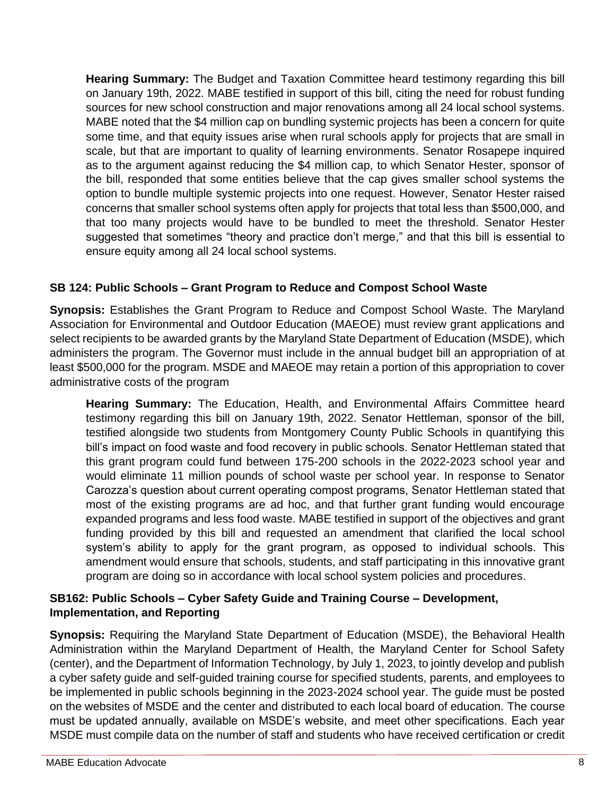**Hearing Summary:** The Budget and Taxation Committee heard testimony regarding this bill on January 19th, 2022. MABE testified in support of this bill, citing the need for robust funding sources for new school construction and major renovations among all 24 local school systems. MABE noted that the \$4 million cap on bundling systemic projects has been a concern for quite some time, and that equity issues arise when rural schools apply for projects that are small in scale, but that are important to quality of learning environments. Senator Rosapepe inquired as to the argument against reducing the \$4 million cap, to which Senator Hester, sponsor of the bill, responded that some entities believe that the cap gives smaller school systems the option to bundle multiple systemic projects into one request. However, Senator Hester raised concerns that smaller school systems often apply for projects that total less than \$500,000, and that too many projects would have to be bundled to meet the threshold. Senator Hester suggested that sometimes "theory and practice don't merge," and that this bill is essential to ensure equity among all 24 local school systems.

# **SB 124: Public Schools – Grant Program to Reduce and Compost School Waste**

**Synopsis:** Establishes the Grant Program to Reduce and Compost School Waste. The Maryland Association for Environmental and Outdoor Education (MAEOE) must review grant applications and select recipients to be awarded grants by the Maryland State Department of Education (MSDE), which administers the program. The Governor must include in the annual budget bill an appropriation of at least \$500,000 for the program. MSDE and MAEOE may retain a portion of this appropriation to cover administrative costs of the program

**Hearing Summary:** The Education, Health, and Environmental Affairs Committee heard testimony regarding this bill on January 19th, 2022. Senator Hettleman, sponsor of the bill, testified alongside two students from Montgomery County Public Schools in quantifying this bill's impact on food waste and food recovery in public schools. Senator Hettleman stated that this grant program could fund between 175-200 schools in the 2022-2023 school year and would eliminate 11 million pounds of school waste per school year. In response to Senator Carozza's question about current operating compost programs, Senator Hettleman stated that most of the existing programs are ad hoc, and that further grant funding would encourage expanded programs and less food waste. MABE testified in support of the objectives and grant funding provided by this bill and requested an amendment that clarified the local school system's ability to apply for the grant program, as opposed to individual schools. This amendment would ensure that schools, students, and staff participating in this innovative grant program are doing so in accordance with local school system policies and procedures.

# **SB162: Public Schools – Cyber Safety Guide and Training Course – Development, Implementation, and Reporting**

**Synopsis:** Requiring the Maryland State Department of Education (MSDE), the Behavioral Health Administration within the Maryland Department of Health, the Maryland Center for School Safety (center), and the Department of Information Technology, by July 1, 2023, to jointly develop and publish a cyber safety guide and self-guided training course for specified students, parents, and employees to be implemented in public schools beginning in the 2023-2024 school year. The guide must be posted on the websites of MSDE and the center and distributed to each local board of education. The course must be updated annually, available on MSDE's website, and meet other specifications. Each year MSDE must compile data on the number of staff and students who have received certification or credit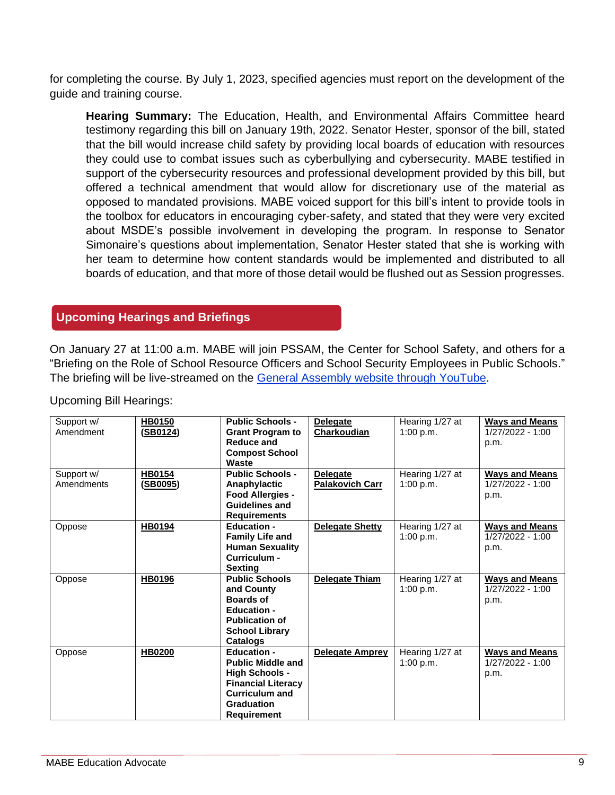for completing the course. By July 1, 2023, specified agencies must report on the development of the guide and training course.

**Hearing Summary:** The Education, Health, and Environmental Affairs Committee heard testimony regarding this bill on January 19th, 2022. Senator Hester, sponsor of the bill, stated that the bill would increase child safety by providing local boards of education with resources they could use to combat issues such as cyberbullying and cybersecurity. MABE testified in support of the cybersecurity resources and professional development provided by this bill, but offered a technical amendment that would allow for discretionary use of the material as opposed to mandated provisions. MABE voiced support for this bill's intent to provide tools in the toolbox for educators in encouraging cyber-safety, and stated that they were very excited about MSDE's possible involvement in developing the program. In response to Senator Simonaire's questions about implementation, Senator Hester stated that she is working with her team to determine how content standards would be implemented and distributed to all boards of education, and that more of those detail would be flushed out as Session progresses.

# **Upcoming Hearings and Briefings**

On January 27 at 11:00 a.m. MABE will join PSSAM, the Center for School Safety, and others for a "Briefing on the Role of School Resource Officers and School Security Employees in Public Schools." The briefing will be live-streamed on the [General Assembly website through YouTube.](https://mgaleg.maryland.gov/mgawebsite/Meetings/Day/01272022?budget=show&cmte=allcommittees&updates=show&ys=2022rs)

| Support w/ | <b>HB0150</b> | <b>Public Schools -</b>               | <b>Delegate</b>        | Hearing 1/27 at | <b>Ways and Means</b>    |
|------------|---------------|---------------------------------------|------------------------|-----------------|--------------------------|
| Amendment  | (SB0124)      | <b>Grant Program to</b><br>Reduce and | <b>Charkoudian</b>     | 1:00 p.m.       | 1/27/2022 - 1:00<br>p.m. |
|            |               | <b>Compost School</b>                 |                        |                 |                          |
|            |               | Waste                                 |                        |                 |                          |
| Support w/ | <b>HB0154</b> | <b>Public Schools -</b>               | <b>Delegate</b>        | Hearing 1/27 at | <b>Ways and Means</b>    |
| Amendments | (SB0095)      | Anaphylactic                          | <b>Palakovich Carr</b> | 1:00 p.m.       | $1/27/2022 - 1:00$       |
|            |               | Food Allergies -                      |                        |                 | p.m.                     |
|            |               | <b>Guidelines and</b>                 |                        |                 |                          |
|            |               | <b>Requirements</b>                   |                        |                 |                          |
| Oppose     | <b>HB0194</b> | <b>Education -</b>                    | <b>Delegate Shetty</b> | Hearing 1/27 at | <b>Ways and Means</b>    |
|            |               | <b>Family Life and</b>                |                        | 1:00 p.m.       | 1/27/2022 - 1:00         |
|            |               | <b>Human Sexuality</b>                |                        |                 | p.m.                     |
|            |               | Curriculum -                          |                        |                 |                          |
|            |               | Sexting                               |                        |                 |                          |
| Oppose     | HB0196        | <b>Public Schools</b>                 | <b>Delegate Thiam</b>  | Hearing 1/27 at | <b>Ways and Means</b>    |
|            |               | and County                            |                        | 1:00 p.m.       | 1/27/2022 - 1:00         |
|            |               | <b>Boards of</b>                      |                        |                 | p.m.                     |
|            |               | <b>Education -</b>                    |                        |                 |                          |
|            |               | <b>Publication of</b>                 |                        |                 |                          |
|            |               | <b>School Library</b>                 |                        |                 |                          |
|            |               | <b>Catalogs</b>                       |                        |                 |                          |
| Oppose     | <b>HB0200</b> | <b>Education -</b>                    | <b>Delegate Amprey</b> | Hearing 1/27 at | <b>Ways and Means</b>    |
|            |               | <b>Public Middle and</b>              |                        | 1:00 p.m.       | 1/27/2022 - 1:00         |
|            |               | <b>High Schools -</b>                 |                        |                 | p.m.                     |
|            |               | <b>Financial Literacy</b>             |                        |                 |                          |
|            |               | <b>Curriculum and</b>                 |                        |                 |                          |
|            |               | <b>Graduation</b>                     |                        |                 |                          |
|            |               | <b>Requirement</b>                    |                        |                 |                          |

Upcoming Bill Hearings: